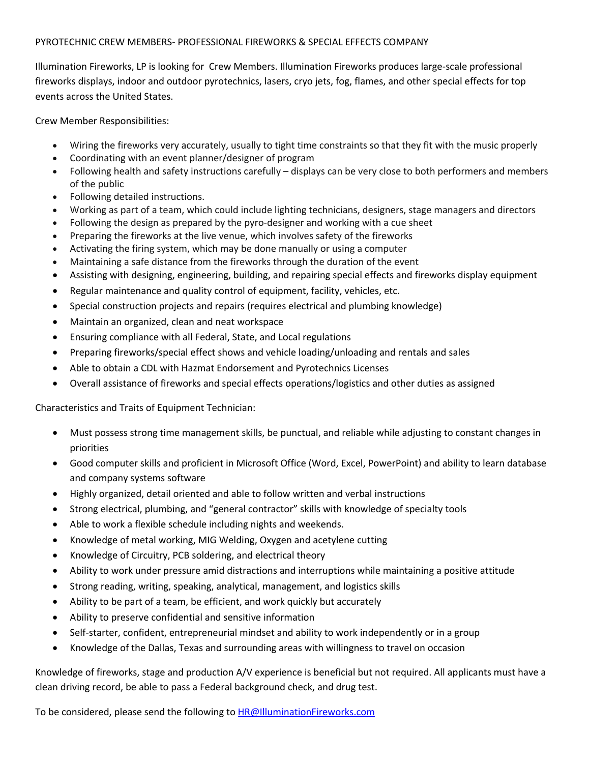## PYROTECHNIC CREW MEMBERS- PROFESSIONAL FIREWORKS & SPECIAL EFFECTS COMPANY

Illumination Fireworks, LP is looking for Crew Members. Illumination Fireworks produces large-scale professional fireworks displays, indoor and outdoor pyrotechnics, lasers, cryo jets, fog, flames, and other special effects for top events across the United States.

Crew Member Responsibilities:

- Wiring the fireworks very accurately, usually to tight time constraints so that they fit with the music properly
- Coordinating with an event planner/designer of program
- Following health and safety instructions carefully displays can be very close to both performers and members of the public
- Following detailed instructions.
- Working as part of a team, which could include lighting technicians, designers, stage managers and directors
- Following the design as prepared by the pyro-designer and working with a cue sheet
- Preparing the fireworks at the live venue, which involves safety of the fireworks
- Activating the firing system, which may be done manually or using a computer
- Maintaining a safe distance from the fireworks through the duration of the event
- Assisting with designing, engineering, building, and repairing special effects and fireworks display equipment
- Regular maintenance and quality control of equipment, facility, vehicles, etc.
- Special construction projects and repairs (requires electrical and plumbing knowledge)
- Maintain an organized, clean and neat workspace
- Ensuring compliance with all Federal, State, and Local regulations
- Preparing fireworks/special effect shows and vehicle loading/unloading and rentals and sales
- Able to obtain a CDL with Hazmat Endorsement and Pyrotechnics Licenses
- Overall assistance of fireworks and special effects operations/logistics and other duties as assigned

Characteristics and Traits of Equipment Technician:

- Must possess strong time management skills, be punctual, and reliable while adjusting to constant changes in priorities
- Good computer skills and proficient in Microsoft Office (Word, Excel, PowerPoint) and ability to learn database and company systems software
- Highly organized, detail oriented and able to follow written and verbal instructions
- Strong electrical, plumbing, and "general contractor" skills with knowledge of specialty tools
- Able to work a flexible schedule including nights and weekends.
- Knowledge of metal working, MIG Welding, Oxygen and acetylene cutting
- Knowledge of Circuitry, PCB soldering, and electrical theory
- Ability to work under pressure amid distractions and interruptions while maintaining a positive attitude
- Strong reading, writing, speaking, analytical, management, and logistics skills
- Ability to be part of a team, be efficient, and work quickly but accurately
- Ability to preserve confidential and sensitive information
- Self-starter, confident, entrepreneurial mindset and ability to work independently or in a group
- Knowledge of the Dallas, Texas and surrounding areas with willingness to travel on occasion

Knowledge of fireworks, stage and production A/V experience is beneficial but not required. All applicants must have a clean driving record, be able to pass a Federal background check, and drug test.

To be considered, please send the following to HR@IlluminationFireworks.com